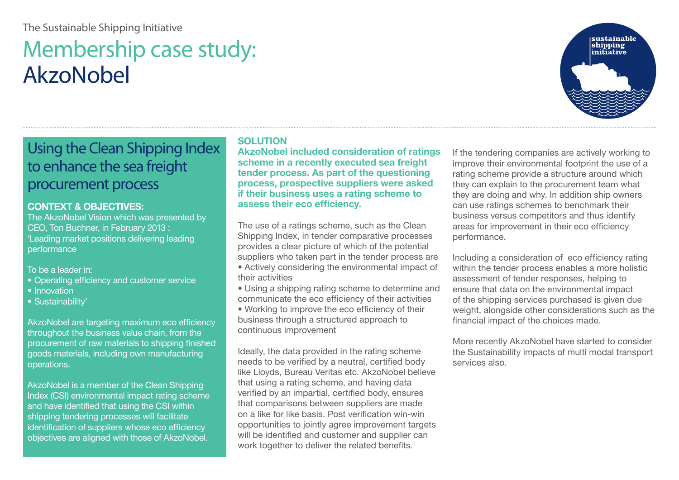### The Sustainable Shipping Initiative

# Membership case study: AkzoNobel

## Using the Clean Shipping Index to enhance the sea freight procurement process

#### **CONTEXT & OBJECTIVES:**

The AkzoNobel Vision which was presented by CEO, Ton Buchner, in February 2013 : 'Leading market positions delivering leading performance

To be a leader in:

- Operating efficiency and customer service
- Innovation
- Sustainability'

AkzoNobel are targeting maximum eco efficiency throughout the business value chain, from the procurement of raw materials to shipping finished goods materials, including own manufacturing operations.

AkzoNobel is a member of the Clean Shipping Index (CSI) environmental impact rating scheme and have identified that using the CSI within shipping tendering processes will facilitate identification of suppliers whose eco efficiency objectives are aligned with those of AkzoNobel.

#### **SOLUTION**

**AkzoNobel included consideration of ratings scheme in a recently executed sea freight tender process. As part of the questioning process, prospective suppliers were asked if their business uses a rating scheme to assess their eco efficiency.** 

The use of a ratings scheme, such as the Clean Shipping Index, in tender comparative processes provides a clear picture of which of the potential suppliers who taken part in the tender process are

• Actively considering the environmental impact of their activities

• Using a shipping rating scheme to determine and communicate the eco efficiency of their activities • Working to improve the eco efficiency of their business through a structured approach to continuous improvement

Ideally, the data provided in the rating scheme needs to be verified by a neutral, certified body like Lloyds, Bureau Veritas etc. AkzoNobel believe that using a rating scheme, and having data verified by an impartial, certified body, ensures that comparisons between suppliers are made on a like for like basis. Post verification win-win opportunities to jointly agree improvement targets will be identified and customer and supplier can work together to deliver the related benefits.

If the tendering companies are actively working to improve their environmental footprint the use of a rating scheme provide a structure around which they can explain to the procurement team what they are doing and why. In addition ship owners can use ratings schemes to benchmark their business versus competitors and thus identify areas for improvement in their eco efficiency performance.

Including a consideration of eco efficiency rating within the tender process enables a more holistic assessment of tender responses, helping to ensure that data on the environmental impact of the shipping services purchased is given due weight, alongside other considerations such as the financial impact of the choices made.

More recently AkzoNobel have started to consider the Sustainability impacts of multi modal transport services also.